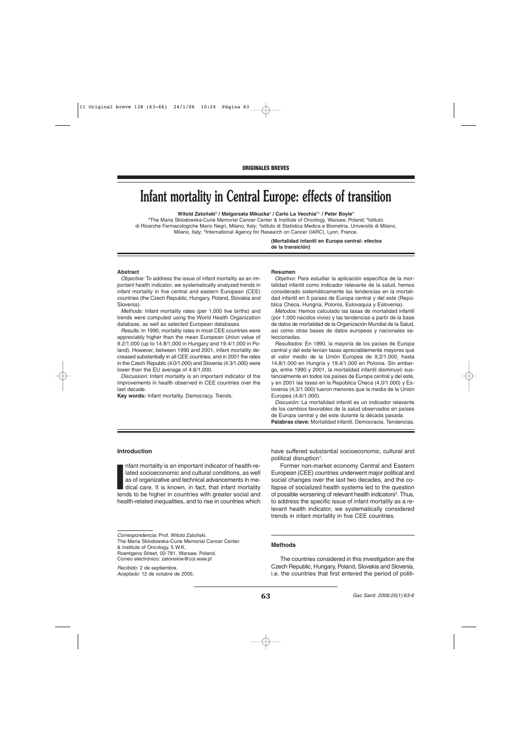# **Infant mortality in Central Europe: effects of transition**

**Witold Zatoñski**<sup>a</sup> **/ Malgorzata Mikucka**<sup>a</sup> **/ Carlo La Vecchia**b,c **/ Peter Boyle**<sup>d</sup>

aThe Maria Sklodowska-Curie Memorial Cancer Center & Institute of Oncology, Warsaw, Poland; <sup>b</sup>Istituto di Ricerche Farmacologiche Mario Negri, Milano, Italy; <sup>c</sup>lstituto di Statistica Medica e Biometria, Università di Milano, Milano, Italy; <sup>d</sup>International Agency for Research on Cancer (IARC), Lyon, France.

> **(Mortalidad infantil en Europa central: efectos de la transición)**

#### **Abstract**

Objective: To address the issue of infant mortality as an important health indicator, we systematically analyzed trends in infant mortality in five central and eastern European (CEE) countries (the Czech Republic, Hungary, Poland, Slovakia and Slovenia).

Methods: Infant mortality rates (per 1,000 live births) and trends were computed using the World Health Organization database, as well as selected European databases.

Results: In 1990, mortality rates in most CEE countries were appreciably higher than the mean European Union value of 9.2/1,000 (up to 14.8/1,000 in Hungary and 19.4/1,000 in Poland). However, between 1990 and 2001, infant mortality decreased substantially in all CEE countries, and in 2001 the rates in the Czech Republic (4.0/1,000) and Slovenia (4.3/1,000) were lower than the EU average of 4.6/1,000.

Discussion: Infant mortality is an important indicator of the improvements in health observed in CEE countries over the last decade.

**Key words:** Infant mortality. Democracy. Trends.

#### **Resumen**

Objetivo: Para estudiar la aplicación específica de la mortalidad infantil como indicador relevante de la salud, hemos considerado sistemáticamente las tendencias en la mortalidad infantil en 5 países de Europa central y del este (República Checa, Hungría, Polonia, Eslovaquia y Eslovenia).

Métodos: Hemos calculado las tasas de mortalidad infantil (por 1.000 nacidos vivos) y las tendencias a partir de la base de datos de mortalidad de la Organización Mundial de la Salud, así como otras bases de datos europeas y nacionales seleccionadas.

Resultados: En 1990, la mayoría de los países de Europa central y del este tenían tasas apreciablemente mayores que el valor medio de la Unión Europea de 9,2/1.000, hasta 14,8/1.000 en Hungría y 19,4/1.000 en Polonia. Sin embargo, entre 1990 y 2001, la mortalidad infantil disminuyó sustancialmente en todos los países de Europa central y del este, y en 2001 las tasas en la República Checa (4,0/1.000) y Eslovenia (4,3/1.000) fueron menores que la media de la Unión Europea (4,6/1.000).

Discusión: La mortalidad infantil es un indicador relevante de los cambios favorables de la salud observados en países de Europa central y del este durante la década pasada. **Palabras clave:** Mortalidad infantil. Democracia. Tendencias.

## **Introduction**

**I**<br> **I**<br> **I**<br> **I** nfant mortality is an important indicator of health-related socioeconomic and cultural conditions, as well as of organizative and technical advancements in medical care. It is known, in fact, that infant mortality tends to be higher in countries with greater social and health-related inequalities, and to rise in countries which

Correo electrónico: zatonskiw@coi.waw.pl

have suffered substantial socioeconomic, cultural and political disruption<sup>1</sup>.

Former non-market economy Central and Eastern European (CEE) countries underwent major political and social changes over the last two decades, and the collapse of socialized health systems led to the question of possible worsening of relevant health indicators<sup>2</sup>. Thus, to address the specific issue of infant mortality as a relevant health indicator, we systematically considered trends in infant mortality in five CEE countries.

#### **Methods**

The countries considered in this investigation are the Czech Republic, Hungary, Poland, Slovakia and Slovenia, i.e. the countries that first entered the period of politi-

Correspondencia: Prof. Witold Zatoñski. The Maria Sklodowska-Curie Memorial Cancer Center & Institute of Oncology, 5 W.K. Roentgena Street, 02-781. Warsaw. Poland.

Recibido: 2 de septiembre. Aceptado: 12 de octubre de 2005.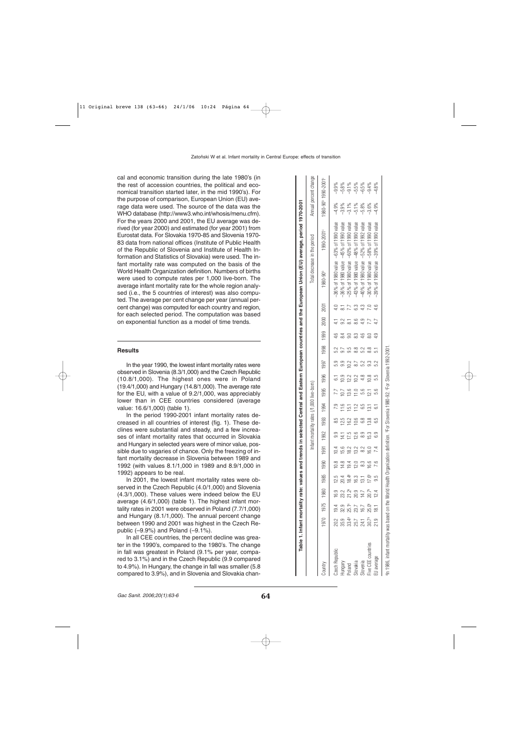cal and economic transition during the late 1980's (in the rest of accession countries, the political and economical transition started later, in the mid 1990's). For the purpose of comparison, European Union (EU) average data were used. The source of the data was the WHO database (http://www3.who.int/whosis/menu.cfm). For the years 2000 and 2001, the EU average was derived (for year 2000) and estimated (for year 2001) from Eurostat data. For Slovakia 1970-85 and Slovenia 1970- 83 data from national offices (Institute of Public Health of the Republic of Slovenia and Institute of Health Information and Statistics of Slovakia) were used. The infant mortality rate was computed on the basis of the World Health Organization definition. Numbers of births were used to compute rates per 1,000 live-born. The average infant mortality rate for the whole region analysed (i.e., the 5 countries of interest) was also computed. The average per cent change per year (annual percent change) was computed for each country and region, for each selected period. The computation was based on exponential function as a model of time trends.

## **Results**

In the year 1990, the lowest infant mortality rates were observed in Slovenia (8.3/1,000) and the Czech Republic (10.8/1,000). The highest ones were in Poland (19.4/1,000) and Hungary (14.8/1,000). The average rate for the EU, with a value of 9.2/1,000, was appreciably lower than in CEE countries considered (average value: 16.6/1,000) (table 1).

In the period 1990-2001 infant mortality rates decreased in all countries of interest (fig. 1). These declines were substantial and steady, and a few increases of infant mortality rates that occurred in Slovakia and Hungary in selected years were of minor value, possible due to vagaries of chance. Only the freezing of infant mortality decrease in Slovenia between 1989 and 1992 (with values 8.1/1,000 in 1989 and 8.9/1,000 in 1992) appears to be real.

In 2001, the lowest infant mortality rates were observed in the Czech Republic (4.0/1,000) and Slovenia (4.3/1,000). These values were indeed below the EU average (4.6/1,000) (table 1). The highest infant mortality rates in 2001 were observed in Poland (7.7/1,000) and Hungary (8.1/1,000). The annual percent change between 1990 and 2001 was highest in the Czech Republic  $(-9.9\%)$  and Poland  $(-9.1\%)$ .

In all CEE countries, the percent decline was greater in the 1990's, compared to the 1980's. The change in fall was greatest in Poland (9.1% per year, compared to 3.1%) and in the Czech Republic (9.9 compared to 4.9%). In Hungary, the change in fall was smaller (5.8 compared to 3.9%), and in Slovenia and Slovakia chan-

|                                                                       |                   |       |                          |          |      |           |      |      |                                                               |                |      |      |               |     |           |                | Table 1. Infant mortality rate: values and trends in selected Central and Eastern European countries and the European Union (EU) average, period 1970-2001 |            |                            |                                             |
|-----------------------------------------------------------------------|-------------------|-------|--------------------------|----------|------|-----------|------|------|---------------------------------------------------------------|----------------|------|------|---------------|-----|-----------|----------------|------------------------------------------------------------------------------------------------------------------------------------------------------------|------------|----------------------------|---------------------------------------------|
|                                                                       |                   |       |                          |          |      |           |      |      | Infant mortality rates (/1,000 live-born)                     |                |      |      |               |     |           |                | Total decrease in the period                                                                                                                               |            |                            | Annual percent change                       |
| ountry                                                                |                   |       | 1970 1980 1980 1985 1990 |          |      | 1991      | 1992 |      | 1998 1998 1995 1996 1997 1997 1998                            |                |      |      |               |     | 2000 2001 |                | 1980-90 <sup>b</sup>                                                                                                                                       | 1990-2001° |                            | 1980-90 <sup>t</sup> 1990-2001 <sup>c</sup> |
| Czech Republic                                                        | 20.2              | 19.4  | 16.9                     | 12.5     | 10.8 | 10.4      |      | 8.5  |                                                               |                |      | 5.9  | 52            | 4.6 |           | $\frac{40}{5}$ | $-36\%$ of 1980 value $-63\%$ of 1990 value                                                                                                                |            | $-4.9%$                    | $-9.9%$                                     |
| <b>Hungary</b>                                                        | 35.9              | 32.9  | 23.2                     | 20.4     | 14.8 | 15.6      | 4    | 12.5 | 11.6                                                          | 0.7            | 10.9 |      |               |     |           |                | -36% of 1980 value -45% of 1990 value                                                                                                                      |            |                            |                                             |
| butelo <sub>c</sub>                                                   | 33.4ª             | 25.1ª | $21.2^a$                 | $18.4^a$ | 9.4  | 18.2      | 17.5 | 16.2 | 151                                                           | 13.6           | 12.2 | 10.2 |               |     |           |                | -25% of 1980 value $-60\%$ of 1990 value                                                                                                                   |            | $30\%$<br>$37\%$<br>$57\%$ |                                             |
| Slovakia                                                              | 25.7              | 23.7  | 20.9                     | 16.3     | 12.0 | 13.2      | 12.6 | 10.6 | 12                                                            | $\frac{0}{11}$ | 10.2 |      | $\frac{8}{8}$ |     | 8.6       | 6.3            | -43% of 1980 value -48% of 1990 value                                                                                                                      |            |                            |                                             |
| slovenia                                                              | 24.1              | 16.7  | 14.7                     | 131      | 33   | $\approx$ |      | 8.9  | م.<br>0                                                       | 5.6            | 4.8  |      | 52            |     |           |                | -40% of 1980 value $-52%$ of 1992 value                                                                                                                    |            |                            |                                             |
| Twe CEE countries                                                     | 30.7 <sup>a</sup> | 25.0ª | 20.7ª                    | 17.6ª    | 16.6 | 16.0      | 15.3 | 13.8 | 13.1                                                          | 21             | 10.8 |      | 8.8           |     |           |                | -30% of 1980 value -58% of 1990 value                                                                                                                      |            | $-5.8%$<br>$-3.6%$         | 8 % % % % %<br>0 7 5 % % 4 %<br>0 9 9 9 9 9 |
| :U average                                                            | 21.9              | 181   | 12.4                     |          | 87   |           |      | 6.5  |                                                               | 5.6            | 5.5  | 52   |               |     |           |                | -39% of 1980 value -39% of 1990 value                                                                                                                      |            | $-4.9%$                    | 4.8%                                        |
| ain 1986, infant mortality was based on the World Health Organization |                   |       |                          |          |      |           |      |      | on definition. PFor Slovenia 1980-92. PFor Slovenia 1992-2001 |                |      |      |               |     |           |                |                                                                                                                                                            |            |                            |                                             |

aIn 1986, infant mortality was based on the World Health Organization definition. bFor Slovenia 1980-92. cFor Slovenia 1992-2001. Slovenia 1980-92. For Slovenia 1992-2001 iFor 1986, infant mortality was based on the World Health Organization definition.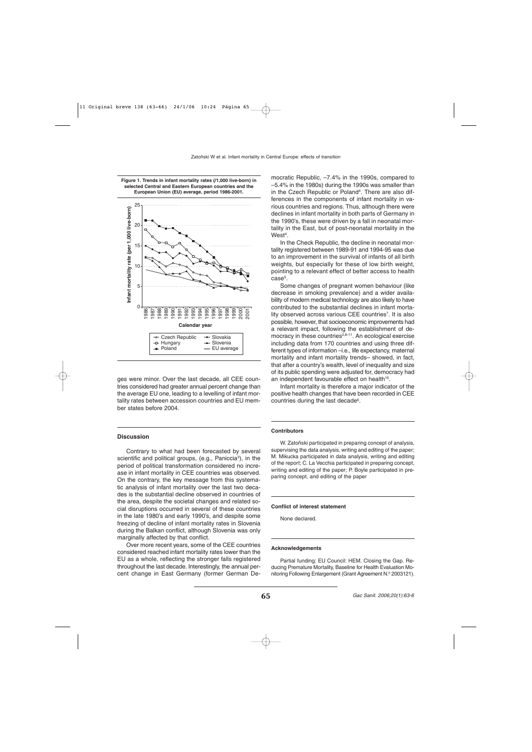

**Figure 1. Trends in infant mortality rates (/1,000 live-born) in**

ges were minor. Over the last decade, all CEE countries considered had greater annual percent change than the average EU one, leading to a levelling of infant mortality rates between accession countries and EU member states before 2004.

# **Discussion**

Contrary to what had been forecasted by several scientific and political groups, (e.g., Paniccia<sup>3</sup>), in the period of political transformation considered no increase in infant mortality in CEE countries was observed. On the contrary, the key message from this systematic analysis of infant mortality over the last two decades is the substantial decline observed in countries of the area, despite the societal changes and related social disruptions occurred in several of these countries in the late 1980's and early 1990's, and despite some freezing of decline of infant mortality rates in Slovenia during the Balkan conflict, although Slovenia was only marginally affected by that conflict.

Over more recent years, some of the CEE countries considered reached infant mortality rates lower than the EU as a whole, reflecting the stronger falls registered throughout the last decade. Interestingly, the annual percent change in East Germany (former German Democratic Republic, –7.4% in the 1990s, compared to –5.4% in the 1980s) during the 1990s was smaller than in the Czech Republic or Poland<sup>4</sup>. There are also differences in the components of infant mortality in various countries and regions. Thus, although there were declines in infant mortality in both parts of Germany in the 1990's, these were driven by a fall in neonatal mortality in the East, but of post-neonatal mortality in the West<sup>4</sup>.

In the Check Republic, the decline in neonatal mortality registered between 1989-91 and 1994-95 was due to an improvement in the survival of infants of all birth weights, but especially for these of low birth weight, pointing to a relevant effect of better access to health  $case<sup>5</sup>$ 

Some changes of pregnant women behaviour (like decrease in smoking prevalence) and a wider availability of modern medical technology are also likely to have contributed to the substantial declines in infant mortality observed across various CEE countries<sup>7</sup>. It is also possible, however, that socioeconomic improvements had a relevant impact, following the establishment of democracy in these countries<sup>2,8-11</sup>. An ecological exercise including data from 170 countries and using three different types of information –i.e., life expectancy, maternal mortality and infant mortality trends– showed, in fact, that after a country's wealth, level of inequality and size of its public spending were adjusted for, democracy had an independent favourable effect on health<sup>10</sup>.

Infant mortality is therefore a major indicator of the positive health changes that have been recorded in CEE countries during the last decade<sup>6</sup>.

### **Contributors**

W. Zatoñski participated in preparing concept of analysis, supervising the data analysis, writing and editing of the paper; M. Mikucka participated in data analysis, writing and editing of the report; C. La Vecchia participated in preparing concept, writing and editing of the paper; P. Boyle participated in preparing concept, and editing of the paper

# **Conflict of interest statement**

None declared.

## **Acknowledgements**

Partial funding: EU Council: HEM. Closing the Gap. Reducing Premature Mortality, Baseline for Health Evaluation Monitoring Following Enlargement (Grant Agreement N.º 2003121).